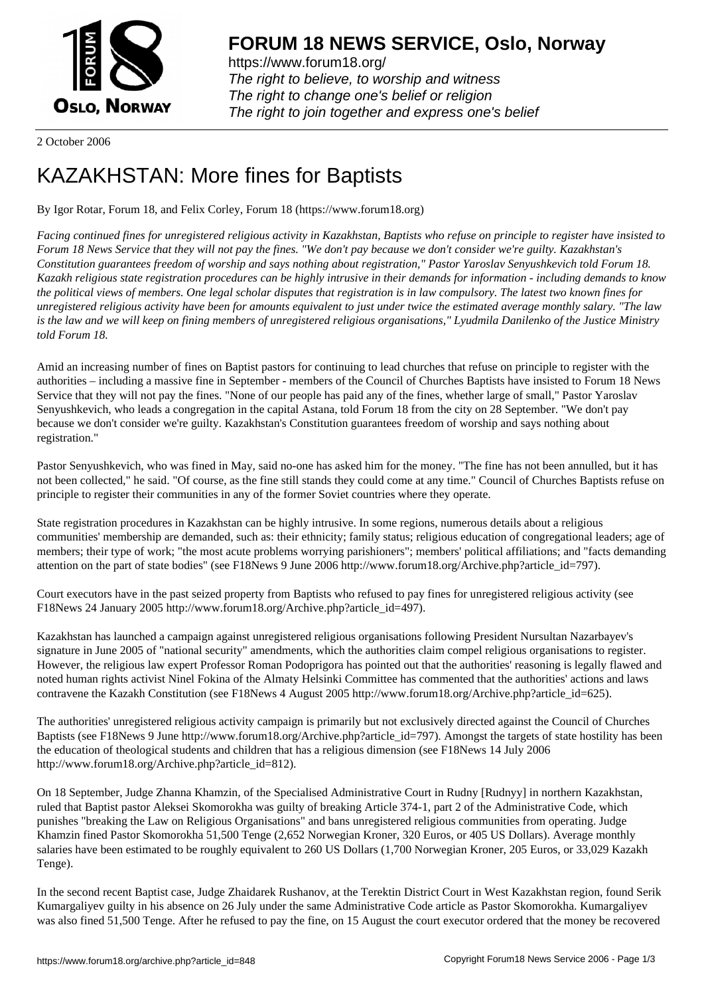

https://www.forum18.org/ The right to believe, to worship and witness The right to change one's belief or religion [The right to join together a](https://www.forum18.org/)nd express one's belief

2 October 2006

## [KAZAKHSTAN:](https://www.forum18.org) More fines for Baptists

By Igor Rotar, Forum 18, and Felix Corley, Forum 18 (https://www.forum18.org)

*Facing continued fines for unregistered religious activity in Kazakhstan, Baptists who refuse on principle to register have insisted to Forum 18 News Service that they will not pay the fines. "We don't pay because we don't consider we're guilty. Kazakhstan's Constitution guarantees freedom of worship and says nothing about registration," Pastor Yaroslav Senyushkevich told Forum 18. Kazakh religious state registration procedures can be highly intrusive in their demands for information - including demands to know the political views of members. One legal scholar disputes that registration is in law compulsory. The latest two known fines for unregistered religious activity have been for amounts equivalent to just under twice the estimated average monthly salary. "The law is the law and we will keep on fining members of unregistered religious organisations," Lyudmila Danilenko of the Justice Ministry told Forum 18.*

Amid an increasing number of fines on Baptist pastors for continuing to lead churches that refuse on principle to register with the authorities – including a massive fine in September - members of the Council of Churches Baptists have insisted to Forum 18 News Service that they will not pay the fines. "None of our people has paid any of the fines, whether large of small," Pastor Yaroslav Senyushkevich, who leads a congregation in the capital Astana, told Forum 18 from the city on 28 September. "We don't pay because we don't consider we're guilty. Kazakhstan's Constitution guarantees freedom of worship and says nothing about registration."

Pastor Senyushkevich, who was fined in May, said no-one has asked him for the money. "The fine has not been annulled, but it has not been collected," he said. "Of course, as the fine still stands they could come at any time." Council of Churches Baptists refuse on principle to register their communities in any of the former Soviet countries where they operate.

State registration procedures in Kazakhstan can be highly intrusive. In some regions, numerous details about a religious communities' membership are demanded, such as: their ethnicity; family status; religious education of congregational leaders; age of members; their type of work; "the most acute problems worrying parishioners"; members' political affiliations; and "facts demanding attention on the part of state bodies" (see F18News 9 June 2006 http://www.forum18.org/Archive.php?article\_id=797).

Court executors have in the past seized property from Baptists who refused to pay fines for unregistered religious activity (see F18News 24 January 2005 http://www.forum18.org/Archive.php?article\_id=497).

Kazakhstan has launched a campaign against unregistered religious organisations following President Nursultan Nazarbayev's signature in June 2005 of "national security" amendments, which the authorities claim compel religious organisations to register. However, the religious law expert Professor Roman Podoprigora has pointed out that the authorities' reasoning is legally flawed and noted human rights activist Ninel Fokina of the Almaty Helsinki Committee has commented that the authorities' actions and laws contravene the Kazakh Constitution (see F18News 4 August 2005 http://www.forum18.org/Archive.php?article\_id=625).

The authorities' unregistered religious activity campaign is primarily but not exclusively directed against the Council of Churches Baptists (see F18News 9 June http://www.forum18.org/Archive.php?article\_id=797). Amongst the targets of state hostility has been the education of theological students and children that has a religious dimension (see F18News 14 July 2006 http://www.forum18.org/Archive.php?article\_id=812).

On 18 September, Judge Zhanna Khamzin, of the Specialised Administrative Court in Rudny [Rudnyy] in northern Kazakhstan, ruled that Baptist pastor Aleksei Skomorokha was guilty of breaking Article 374-1, part 2 of the Administrative Code, which punishes "breaking the Law on Religious Organisations" and bans unregistered religious communities from operating. Judge Khamzin fined Pastor Skomorokha 51,500 Tenge (2,652 Norwegian Kroner, 320 Euros, or 405 US Dollars). Average monthly salaries have been estimated to be roughly equivalent to 260 US Dollars (1,700 Norwegian Kroner, 205 Euros, or 33,029 Kazakh Tenge).

In the second recent Baptist case, Judge Zhaidarek Rushanov, at the Terektin District Court in West Kazakhstan region, found Serik Kumargaliyev guilty in his absence on 26 July under the same Administrative Code article as Pastor Skomorokha. Kumargaliyev was also fined 51,500 Tenge. After he refused to pay the fine, on 15 August the court executor ordered that the money be recovered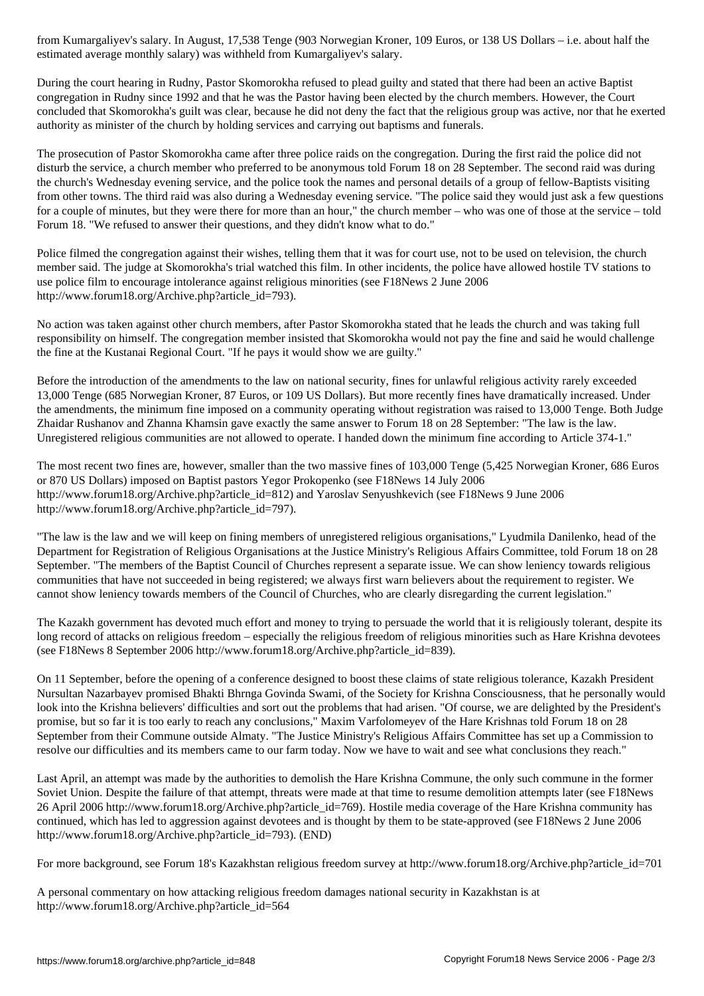estimated average monthly salary) was withheld from Kumargaliyev's salary.

During the court hearing in Rudny, Pastor Skomorokha refused to plead guilty and stated that there had been an active Baptist congregation in Rudny since 1992 and that he was the Pastor having been elected by the church members. However, the Court concluded that Skomorokha's guilt was clear, because he did not deny the fact that the religious group was active, nor that he exerted authority as minister of the church by holding services and carrying out baptisms and funerals.

The prosecution of Pastor Skomorokha came after three police raids on the congregation. During the first raid the police did not disturb the service, a church member who preferred to be anonymous told Forum 18 on 28 September. The second raid was during the church's Wednesday evening service, and the police took the names and personal details of a group of fellow-Baptists visiting from other towns. The third raid was also during a Wednesday evening service. "The police said they would just ask a few questions for a couple of minutes, but they were there for more than an hour," the church member – who was one of those at the service – told Forum 18. "We refused to answer their questions, and they didn't know what to do."

Police filmed the congregation against their wishes, telling them that it was for court use, not to be used on television, the church member said. The judge at Skomorokha's trial watched this film. In other incidents, the police have allowed hostile TV stations to use police film to encourage intolerance against religious minorities (see F18News 2 June 2006 http://www.forum18.org/Archive.php?article\_id=793).

No action was taken against other church members, after Pastor Skomorokha stated that he leads the church and was taking full responsibility on himself. The congregation member insisted that Skomorokha would not pay the fine and said he would challenge the fine at the Kustanai Regional Court. "If he pays it would show we are guilty."

Before the introduction of the amendments to the law on national security, fines for unlawful religious activity rarely exceeded 13,000 Tenge (685 Norwegian Kroner, 87 Euros, or 109 US Dollars). But more recently fines have dramatically increased. Under the amendments, the minimum fine imposed on a community operating without registration was raised to 13,000 Tenge. Both Judge Zhaidar Rushanov and Zhanna Khamsin gave exactly the same answer to Forum 18 on 28 September: "The law is the law. Unregistered religious communities are not allowed to operate. I handed down the minimum fine according to Article 374-1."

The most recent two fines are, however, smaller than the two massive fines of 103,000 Tenge (5,425 Norwegian Kroner, 686 Euros or 870 US Dollars) imposed on Baptist pastors Yegor Prokopenko (see F18News 14 July 2006 http://www.forum18.org/Archive.php?article\_id=812) and Yaroslav Senyushkevich (see F18News 9 June 2006 http://www.forum18.org/Archive.php?article\_id=797).

"The law is the law and we will keep on fining members of unregistered religious organisations," Lyudmila Danilenko, head of the Department for Registration of Religious Organisations at the Justice Ministry's Religious Affairs Committee, told Forum 18 on 28 September. "The members of the Baptist Council of Churches represent a separate issue. We can show leniency towards religious communities that have not succeeded in being registered; we always first warn believers about the requirement to register. We cannot show leniency towards members of the Council of Churches, who are clearly disregarding the current legislation."

The Kazakh government has devoted much effort and money to trying to persuade the world that it is religiously tolerant, despite its long record of attacks on religious freedom – especially the religious freedom of religious minorities such as Hare Krishna devotees (see F18News 8 September 2006 http://www.forum18.org/Archive.php?article\_id=839).

On 11 September, before the opening of a conference designed to boost these claims of state religious tolerance, Kazakh President Nursultan Nazarbayev promised Bhakti Bhrnga Govinda Swami, of the Society for Krishna Consciousness, that he personally would look into the Krishna believers' difficulties and sort out the problems that had arisen. "Of course, we are delighted by the President's promise, but so far it is too early to reach any conclusions," Maxim Varfolomeyev of the Hare Krishnas told Forum 18 on 28 September from their Commune outside Almaty. "The Justice Ministry's Religious Affairs Committee has set up a Commission to resolve our difficulties and its members came to our farm today. Now we have to wait and see what conclusions they reach."

Last April, an attempt was made by the authorities to demolish the Hare Krishna Commune, the only such commune in the former Soviet Union. Despite the failure of that attempt, threats were made at that time to resume demolition attempts later (see F18News 26 April 2006 http://www.forum18.org/Archive.php?article\_id=769). Hostile media coverage of the Hare Krishna community has continued, which has led to aggression against devotees and is thought by them to be state-approved (see F18News 2 June 2006 http://www.forum18.org/Archive.php?article\_id=793). (END)

For more background, see Forum 18's Kazakhstan religious freedom survey at http://www.forum18.org/Archive.php?article\_id=701

A personal commentary on how attacking religious freedom damages national security in Kazakhstan is at http://www.forum18.org/Archive.php?article\_id=564